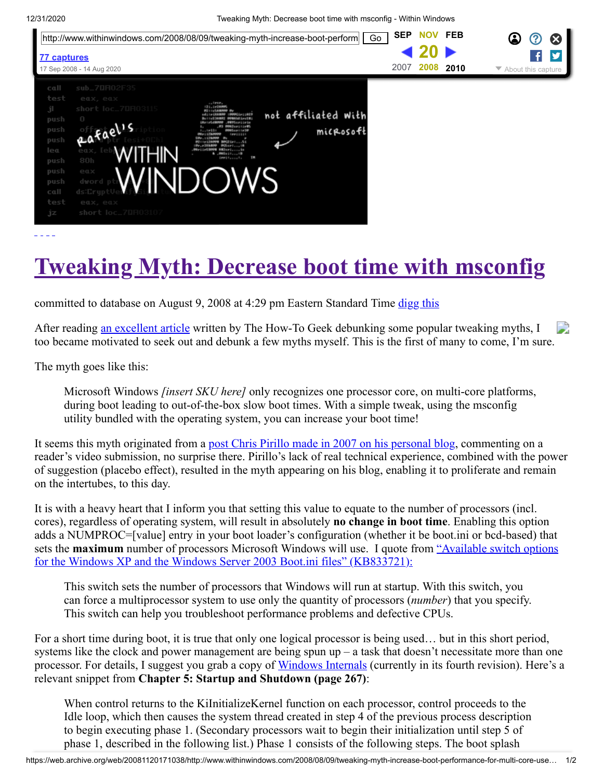12/31/2020 Tweaking Myth: Decrease boot time with msconfig - Within Windows



## **[Tweaking Myth: Decrease boot time with msconfig](https://web.archive.org/web/20081120171038/http://www.withinwindows.com/2008/08/09/tweaking-myth-increase-boot-performance-for-multi-core-users-with-msconfig/)**

committed to database on August 9, 2008 at 4:29 pm Eastern Standard Time [digg this](https://web.archive.org/web/20081120171038/http://digg.com/submit?phase=2&url=http://www.withinwindows.com/2008/08/09/tweaking-myth-increase-boot-performance-for-multi-core-users-with-msconfig/&title=Tweaking%20Myth:%20Decrease%20boot%20time%20with%20msconfig)

After reading [an excellent article](https://web.archive.org/web/20081120171038/http://lifehacker.com/5033518/debunking-common-windows-performance-tweaking-myths) written by The How-To Geek debunking some popular tweaking myths, I too became motivated to seek out and debunk a few myths myself. This is the first of many to come, I'm sure.

The myth goes like this:

Microsoft Windows *[insert SKU here]* only recognizes one processor core, on multi-core platforms, during boot leading to out-of-the-box slow boot times. With a simple tweak, using the msconfig utility bundled with the operating system, you can increase your boot time!

It seems this myth originated from a [post Chris Pirillo made in 2007 on his personal blog](https://web.archive.org/web/20081120171038/http://chris.pirillo.com/2007/09/06/speed-up-windows-startup-with-a-processor-tweak/), commenting on a reader's video submission, no surprise there. Pirillo's lack of real technical experience, combined with the power of suggestion (placebo effect), resulted in the myth appearing on his blog, enabling it to proliferate and remain on the intertubes, to this day.

It is with a heavy heart that I inform you that setting this value to equate to the number of processors (incl. cores), regardless of operating system, will result in absolutely **no change in boot time**. Enabling this option adds a NUMPROC=[value] entry in your boot loader's configuration (whether it be boot.ini or bcd-based) that sets the **maximum** [number of processors Microsoft Windows will use. I quote from "Available switch options](https://web.archive.org/web/20081120171038/http://support.microsoft.com/default.aspx?scid=kb;en-us;833721)" for the Windows XP and the Windows Server 2003 Boot.ini files" (KB833721):

This switch sets the number of processors that Windows will run at startup. With this switch, you can force a multiprocessor system to use only the quantity of processors (*number*) that you specify. This switch can help you troubleshoot performance problems and defective CPUs.

For a short time during boot, it is true that only one logical processor is being used… but in this short period, systems like the clock and power management are being spun up – a task that doesn't necessitate more than one processor. For details, I suggest you grab a copy of [Windows Internals](https://web.archive.org/web/20081120171038/http://www.amazon.com/Microsoft-Windows-Internals-4th-Server/dp/0735619174/ref=pd_bbs_sr_1?ie=UTF8&s=books&qid=1218316089&sr=8-1) (currently in its fourth revision). Here's a relevant snippet from **Chapter 5: Startup and Shutdown (page 267)**:

When control returns to the KiInitializeKernel function on each processor, control proceeds to the Idle loop, which then causes the system thread created in step 4 of the previous process description to begin executing phase 1. (Secondary processors wait to begin their initialization until step 5 of phase 1, described in the following list.) Phase 1 consists of the following steps. The boot splash